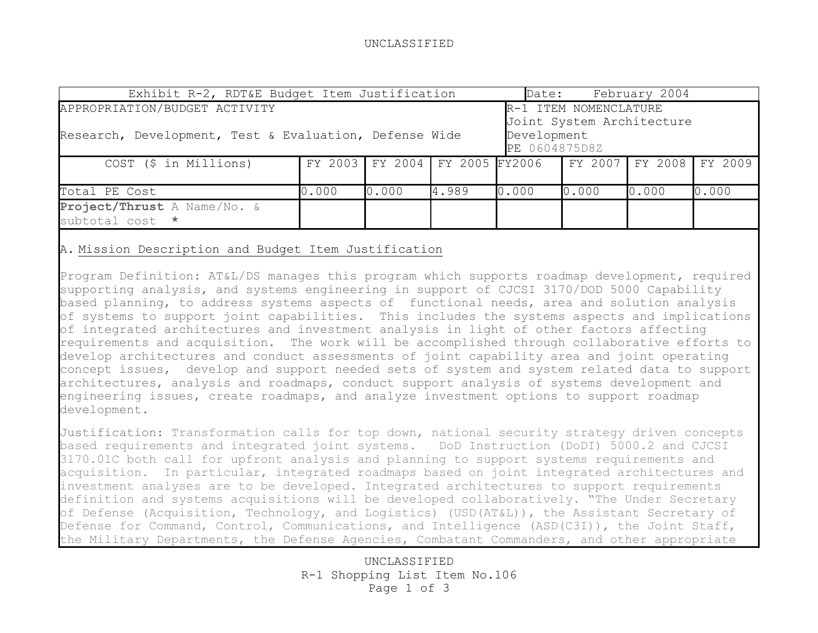## UNCLASSIFIED

| Exhibit R-2, RDT&E Budget Item Justification                                                                                                                                  |       |                                                        |       | Date: |       | February 2004 |       |
|-------------------------------------------------------------------------------------------------------------------------------------------------------------------------------|-------|--------------------------------------------------------|-------|-------|-------|---------------|-------|
| APPROPRIATION/BUDGET ACTIVITY<br>R-1 ITEM NOMENCLATURE<br>Joint System Architecture<br>Research, Development, Test & Evaluation, Defense Wide<br>Development<br>PE 0604875D8Z |       |                                                        |       |       |       |               |       |
| COST (\$ in Millions)                                                                                                                                                         |       | FY 2003 FY 2004 FY 2005 FY2006 FY 2007 FY 2008 FY 2009 |       |       |       |               |       |
| Total PE Cost                                                                                                                                                                 | 0.000 | 0.000                                                  | 4.989 | 0.000 | 0.000 | 0.000         | 0.000 |
| Project/Thrust A Name/No. &<br>subtotal cost *                                                                                                                                |       |                                                        |       |       |       |               |       |

## A. Mission Description and Budget Item Justification

Program Definition: AT&L/DS manages this program which supports roadmap development, required supporting analysis, and systems engineering in support of CJCSI 3170/DOD 5000 Capability based planning, to address systems aspects of functional needs, area and solution analysis of systems to support joint capabilities. This includes the systems aspects and implications of integrated architectures and investment analysis in light of other factors affecting requirements and acquisition. The work will be accomplished through collaborative efforts to develop architectures and conduct assessments of joint capability area and joint operating concept issues, develop and support needed sets of system and system related data to support architectures, analysis and roadmaps, conduct support analysis of systems development and engineering issues, create roadmaps, and analyze investment options to support roadmap development.

Justification: Transformation calls for top down, national security strategy driven concepts based requirements and integrated joint systems. DoD Instruction (DoDI) 5000.2 and CJCSI 3170.01C both call for upfront analysis and planning to support systems requirements and acquisition. In particular, integrated roadmaps based on joint integrated architectures and investment analyses are to be developed. Integrated architectures to support requirements definition and systems acquisitions will be developed collaboratively. "The Under Secretary of Defense (Acquisition, Technology, and Logistics) (USD(AT&L)), the Assistant Secretary of Defense for Command, Control, Communications, and Intelligence (ASD(C3I)), the Joint Staff, the Military Departments, the Defense Agencies, Combatant Commanders, and other appropriate

> UNCLASSIFIED R-1 Shopping List Item No.106 Page 1 of 3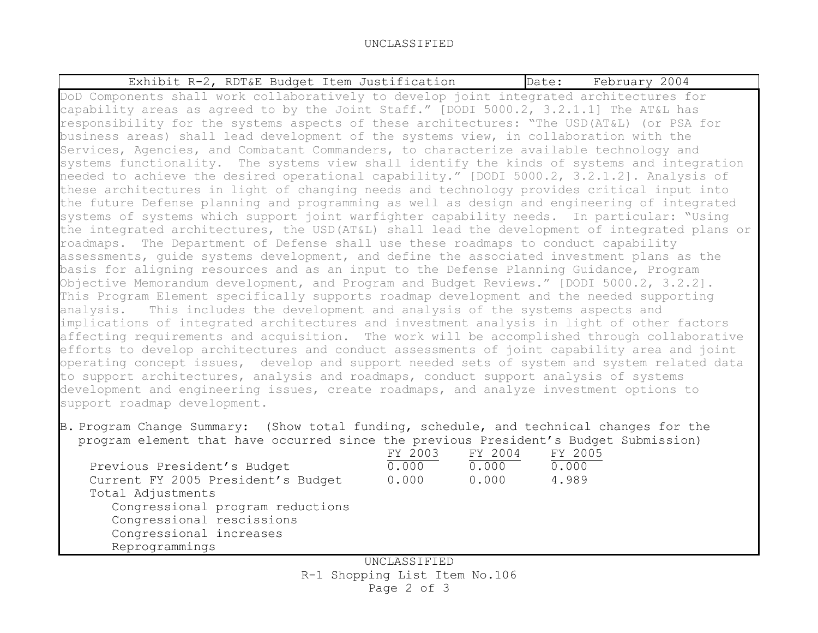B. Program Change Summary: (Show total funding, schedule, and technical changes for the program element that have occurred since the previous President's Budget Submission)

|                             |                                    | FY 2003 | FY 2004 | FY 2005 |
|-----------------------------|------------------------------------|---------|---------|---------|
| Previous President's Budget |                                    | 0.000   | 0.000   | 0.000   |
|                             | Current FY 2005 President's Budget | 0.000   | 0.000   | 4.989   |
| Total Adjustments           |                                    |         |         |         |
|                             | Congressional program reductions   |         |         |         |
| Congressional rescissions   |                                    |         |         |         |
| Congressional increases     |                                    |         |         |         |
| Reprogrammings              |                                    |         |         |         |

UNCLASSIFIED R-1 Shopping List Item No.106 Page 2 of 3